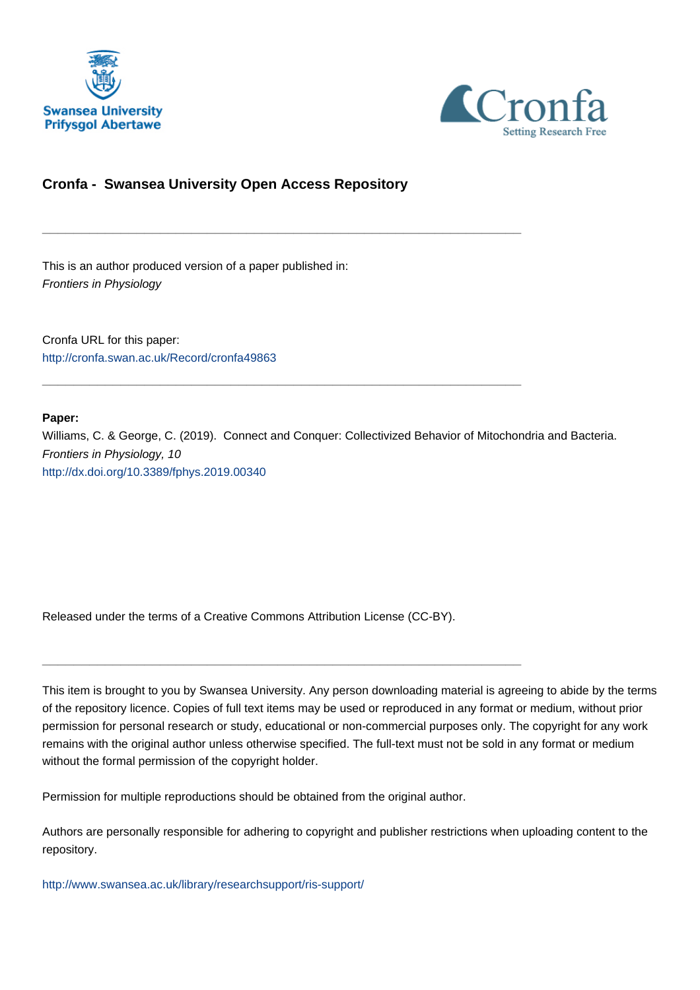



# **Cronfa - Swansea University Open Access Repository**

\_\_\_\_\_\_\_\_\_\_\_\_\_\_\_\_\_\_\_\_\_\_\_\_\_\_\_\_\_\_\_\_\_\_\_\_\_\_\_\_\_\_\_\_\_\_\_\_\_\_\_\_\_\_\_\_\_\_\_\_\_

\_\_\_\_\_\_\_\_\_\_\_\_\_\_\_\_\_\_\_\_\_\_\_\_\_\_\_\_\_\_\_\_\_\_\_\_\_\_\_\_\_\_\_\_\_\_\_\_\_\_\_\_\_\_\_\_\_\_\_\_\_

This is an author produced version of a paper published in: Frontiers in Physiology

Cronfa URL for this paper: <http://cronfa.swan.ac.uk/Record/cronfa49863>

### **Paper:**

Williams, C. & George, C. (2019). Connect and Conquer: Collectivized Behavior of Mitochondria and Bacteria. Frontiers in Physiology, 10 <http://dx.doi.org/10.3389/fphys.2019.00340>

Released under the terms of a Creative Commons Attribution License (CC-BY).

\_\_\_\_\_\_\_\_\_\_\_\_\_\_\_\_\_\_\_\_\_\_\_\_\_\_\_\_\_\_\_\_\_\_\_\_\_\_\_\_\_\_\_\_\_\_\_\_\_\_\_\_\_\_\_\_\_\_\_\_\_

This item is brought to you by Swansea University. Any person downloading material is agreeing to abide by the terms of the repository licence. Copies of full text items may be used or reproduced in any format or medium, without prior permission for personal research or study, educational or non-commercial purposes only. The copyright for any work remains with the original author unless otherwise specified. The full-text must not be sold in any format or medium without the formal permission of the copyright holder.

Permission for multiple reproductions should be obtained from the original author.

Authors are personally responsible for adhering to copyright and publisher restrictions when uploading content to the repository.

[http://www.swansea.ac.uk/library/researchsupport/ris-support/](http://www.swansea.ac.uk/library/researchsupport/ris-support/ )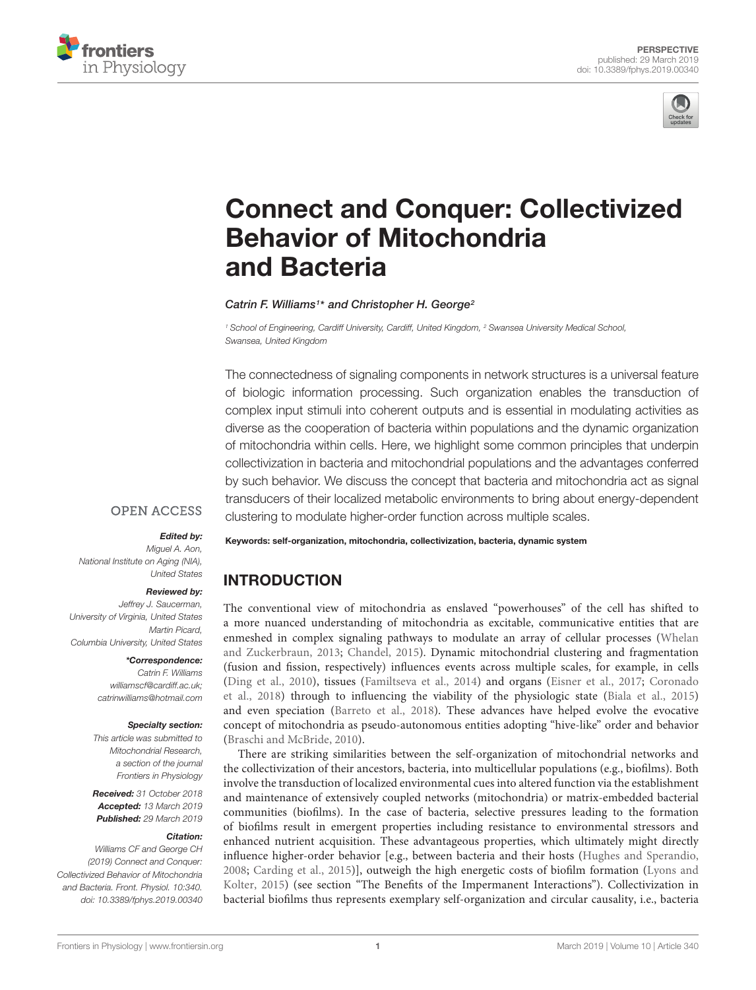



# Connect and Conquer: Collectivized Behavior of Mitochondria and Bacteria

### Catrin F. Williams<sup>1\*</sup> and Christopher H. George<sup>2</sup>

<sup>1</sup> School of Engineering, Cardiff University, Cardiff, United Kingdom, <sup>2</sup> Swansea University Medical School, Swansea, United Kingdom

The connectedness of signaling components in network structures is a universal feature of biologic information processing. Such organization enables the transduction of complex input stimuli into coherent outputs and is essential in modulating activities as diverse as the cooperation of bacteria within populations and the dynamic organization of mitochondria within cells. Here, we highlight some common principles that underpin collectivization in bacteria and mitochondrial populations and the advantages conferred by such behavior. We discuss the concept that bacteria and mitochondria act as signal transducers of their localized metabolic environments to bring about energy-dependent clustering to modulate higher-order function across multiple scales.

### **OPEN ACCESS**

### Edited by:

Miguel A Aon National Institute on Aging (NIA), United States

#### Reviewed by:

Jeffrey J. Saucerman, University of Virginia, United States Martin Picard, Columbia University, United States

#### \*Correspondence:

Catrin F. Williams williamscf@cardiff.ac.uk; catrinwilliams@hotmail.com

#### Specialty section:

This article was submitted to Mitochondrial Research, a section of the journal Frontiers in Physiology

Received: 31 October 2018 Accepted: 13 March 2019 Published: 29 March 2019

#### Citation:

Williams CF and George CH (2019) Connect and Conquer: Collectivized Behavior of Mitochondria and Bacteria. Front. Physiol. 10:340. doi: 10.3389/fphys.2019.00340

Keywords: self-organization, mitochondria, collectivization, bacteria, dynamic system

# INTRODUCTION

The conventional view of mitochondria as enslaved "powerhouses" of the cell has shifted to a more nuanced understanding of mitochondria as excitable, communicative entities that are enmeshed in complex signaling pathways to modulate an array of cellular processes (Whelan and Zuckerbraun, 2013; Chandel, 2015). Dynamic mitochondrial clustering and fragmentation (fusion and fission, respectively) influences events across multiple scales, for example, in cells (Ding et al., 2010), tissues (Familtseva et al., 2014) and organs (Eisner et al., 2017; Coronado et al., 2018) through to influencing the viability of the physiologic state (Biala et al., 2015) and even speciation (Barreto et al., 2018). These advances have helped evolve the evocative concept of mitochondria as pseudo-autonomous entities adopting "hive-like" order and behavior (Braschi and McBride, 2010).

There are striking similarities between the self-organization of mitochondrial networks and the collectivization of their ancestors, bacteria, into multicellular populations (e.g., biofilms). Both involve the transduction of localized environmental cues into altered function via the establishment and maintenance of extensively coupled networks (mitochondria) or matrix-embedded bacterial communities (biofilms). In the case of bacteria, selective pressures leading to the formation of biofilms result in emergent properties including resistance to environmental stressors and enhanced nutrient acquisition. These advantageous properties, which ultimately might directly influence higher-order behavior [e.g., between bacteria and their hosts (Hughes and Sperandio, 2008; Carding et al., 2015)], outweigh the high energetic costs of biofilm formation (Lyons and Kolter, 2015) (see section "The Benefits of the Impermanent Interactions"). Collectivization in bacterial biofilms thus represents exemplary self-organization and circular causality, i.e., bacteria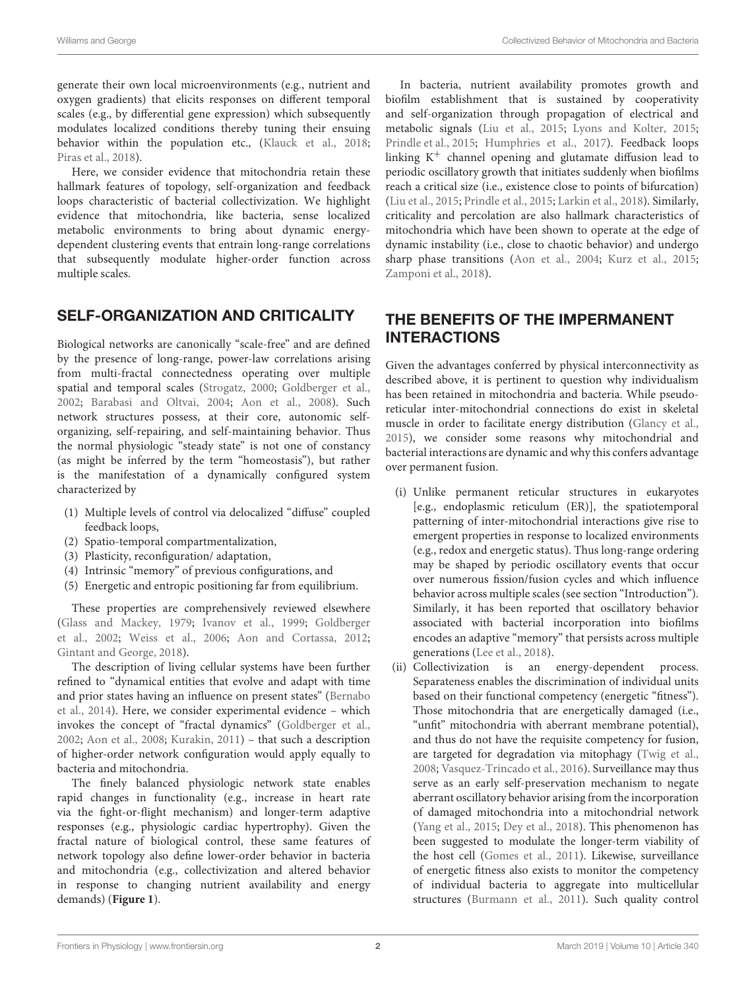generate their own local microenvironments (e.g., nutrient and oxygen gradients) that elicits responses on different temporal scales (e.g., by differential gene expression) which subsequently modulates localized conditions thereby tuning their ensuing behavior within the population etc., (Klauck et al., 2018; Piras et al., 2018).

Here, we consider evidence that mitochondria retain these hallmark features of topology, self-organization and feedback loops characteristic of bacterial collectivization. We highlight evidence that mitochondria, like bacteria, sense localized metabolic environments to bring about dynamic energydependent clustering events that entrain long-range correlations that subsequently modulate higher-order function across multiple scales.

# SELF-ORGANIZATION AND CRITICALITY

Biological networks are canonically "scale-free" and are defined by the presence of long-range, power-law correlations arising from multi-fractal connectedness operating over multiple spatial and temporal scales (Strogatz, 2000; Goldberger et al., 2002; Barabasi and Oltvai, 2004; Aon et al., 2008). Such network structures possess, at their core, autonomic selforganizing, self-repairing, and self-maintaining behavior. Thus the normal physiologic "steady state" is not one of constancy (as might be inferred by the term "homeostasis"), but rather is the manifestation of a dynamically configured system characterized by

- (1) Multiple levels of control via delocalized "diffuse" coupled feedback loops,
- (2) Spatio-temporal compartmentalization,
- (3) Plasticity, reconfiguration/ adaptation,
- (4) Intrinsic "memory" of previous configurations, and
- (5) Energetic and entropic positioning far from equilibrium.

These properties are comprehensively reviewed elsewhere (Glass and Mackey, 1979; Ivanov et al., 1999; Goldberger et al., 2002; Weiss et al., 2006; Aon and Cortassa, 2012; Gintant and George, 2018).

The description of living cellular systems have been further refined to "dynamical entities that evolve and adapt with time and prior states having an influence on present states" (Bernabo et al., 2014). Here, we consider experimental evidence – which invokes the concept of "fractal dynamics" (Goldberger et al., 2002; Aon et al., 2008; Kurakin, 2011) – that such a description of higher-order network configuration would apply equally to bacteria and mitochondria.

The finely balanced physiologic network state enables rapid changes in functionality (e.g., increase in heart rate via the fight-or-flight mechanism) and longer-term adaptive responses (e.g., physiologic cardiac hypertrophy). Given the fractal nature of biological control, these same features of network topology also define lower-order behavior in bacteria and mitochondria (e.g., collectivization and altered behavior in response to changing nutrient availability and energy demands) (**Figure 1**).

In bacteria, nutrient availability promotes growth and biofilm establishment that is sustained by cooperativity and self-organization through propagation of electrical and metabolic signals (Liu et al., 2015; Lyons and Kolter, 2015; Prindle et al., 2015; Humphries et al., 2017). Feedback loops linking  $K^+$  channel opening and glutamate diffusion lead to periodic oscillatory growth that initiates suddenly when biofilms reach a critical size (i.e., existence close to points of bifurcation) (Liu et al., 2015; Prindle et al., 2015; Larkin et al., 2018). Similarly, criticality and percolation are also hallmark characteristics of mitochondria which have been shown to operate at the edge of dynamic instability (i.e., close to chaotic behavior) and undergo sharp phase transitions (Aon et al., 2004; Kurz et al., 2015; Zamponi et al., 2018).

# THE BENEFITS OF THE IMPERMANENT INTERACTIONS

Given the advantages conferred by physical interconnectivity as described above, it is pertinent to question why individualism has been retained in mitochondria and bacteria. While pseudoreticular inter-mitochondrial connections do exist in skeletal muscle in order to facilitate energy distribution (Glancy et al., 2015), we consider some reasons why mitochondrial and bacterial interactions are dynamic and why this confers advantage over permanent fusion.

- (i) Unlike permanent reticular structures in eukaryotes [e.g., endoplasmic reticulum (ER)], the spatiotemporal patterning of inter-mitochondrial interactions give rise to emergent properties in response to localized environments (e.g., redox and energetic status). Thus long-range ordering may be shaped by periodic oscillatory events that occur over numerous fission/fusion cycles and which influence behavior across multiple scales (see section "Introduction"). Similarly, it has been reported that oscillatory behavior associated with bacterial incorporation into biofilms encodes an adaptive "memory" that persists across multiple generations (Lee et al., 2018).
- (ii) Collectivization is an energy-dependent process. Separateness enables the discrimination of individual units based on their functional competency (energetic "fitness"). Those mitochondria that are energetically damaged (i.e., "unfit" mitochondria with aberrant membrane potential), and thus do not have the requisite competency for fusion, are targeted for degradation via mitophagy (Twig et al., 2008; Vasquez-Trincado et al., 2016). Surveillance may thus serve as an early self-preservation mechanism to negate aberrant oscillatory behavior arising from the incorporation of damaged mitochondria into a mitochondrial network (Yang et al., 2015; Dey et al., 2018). This phenomenon has been suggested to modulate the longer-term viability of the host cell (Gomes et al., 2011). Likewise, surveillance of energetic fitness also exists to monitor the competency of individual bacteria to aggregate into multicellular structures (Burmann et al., 2011). Such quality control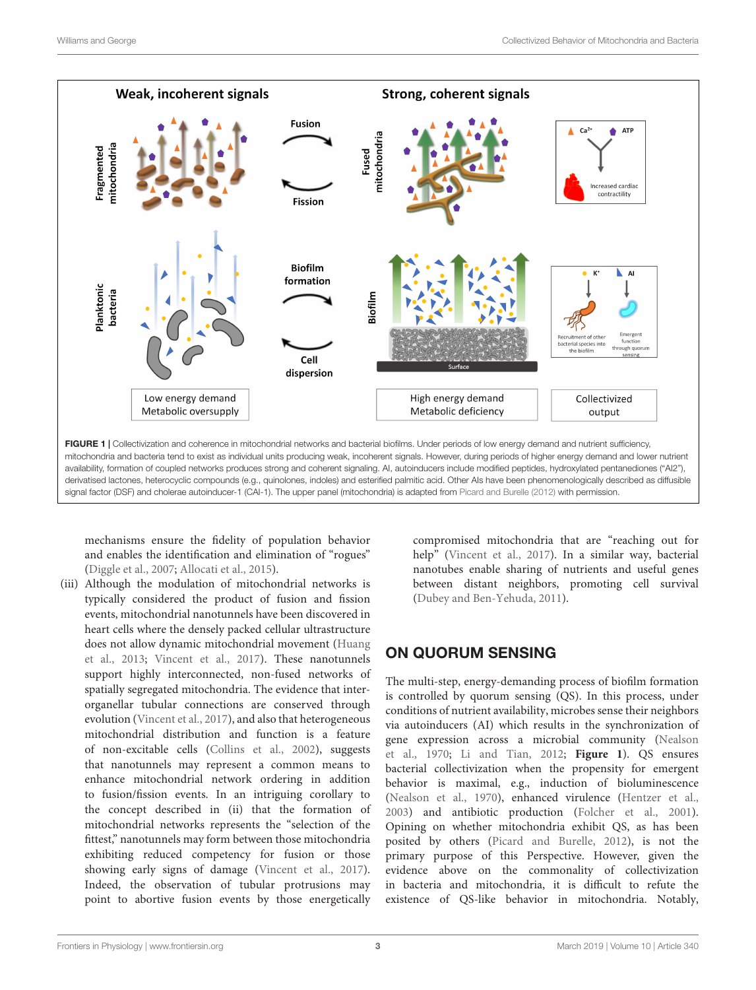

mechanisms ensure the fidelity of population behavior and enables the identification and elimination of "rogues" (Diggle et al., 2007; Allocati et al., 2015).

(iii) Although the modulation of mitochondrial networks is typically considered the product of fusion and fission events, mitochondrial nanotunnels have been discovered in heart cells where the densely packed cellular ultrastructure does not allow dynamic mitochondrial movement (Huang et al., 2013; Vincent et al., 2017). These nanotunnels support highly interconnected, non-fused networks of spatially segregated mitochondria. The evidence that interorganellar tubular connections are conserved through evolution (Vincent et al., 2017), and also that heterogeneous mitochondrial distribution and function is a feature of non-excitable cells (Collins et al., 2002), suggests that nanotunnels may represent a common means to enhance mitochondrial network ordering in addition to fusion/fission events. In an intriguing corollary to the concept described in (ii) that the formation of mitochondrial networks represents the "selection of the fittest," nanotunnels may form between those mitochondria exhibiting reduced competency for fusion or those showing early signs of damage (Vincent et al., 2017). Indeed, the observation of tubular protrusions may point to abortive fusion events by those energetically

compromised mitochondria that are "reaching out for help" (Vincent et al., 2017). In a similar way, bacterial nanotubes enable sharing of nutrients and useful genes between distant neighbors, promoting cell survival (Dubey and Ben-Yehuda, 2011).

# ON QUORUM SENSING

The multi-step, energy-demanding process of biofilm formation is controlled by quorum sensing (QS). In this process, under conditions of nutrient availability, microbes sense their neighbors via autoinducers (AI) which results in the synchronization of gene expression across a microbial community (Nealson et al., 1970; Li and Tian, 2012; **Figure 1**). QS ensures bacterial collectivization when the propensity for emergent behavior is maximal, e.g., induction of bioluminescence (Nealson et al., 1970), enhanced virulence (Hentzer et al., 2003) and antibiotic production (Folcher et al., 2001). Opining on whether mitochondria exhibit QS, as has been posited by others (Picard and Burelle, 2012), is not the primary purpose of this Perspective. However, given the evidence above on the commonality of collectivization in bacteria and mitochondria, it is difficult to refute the existence of QS-like behavior in mitochondria. Notably,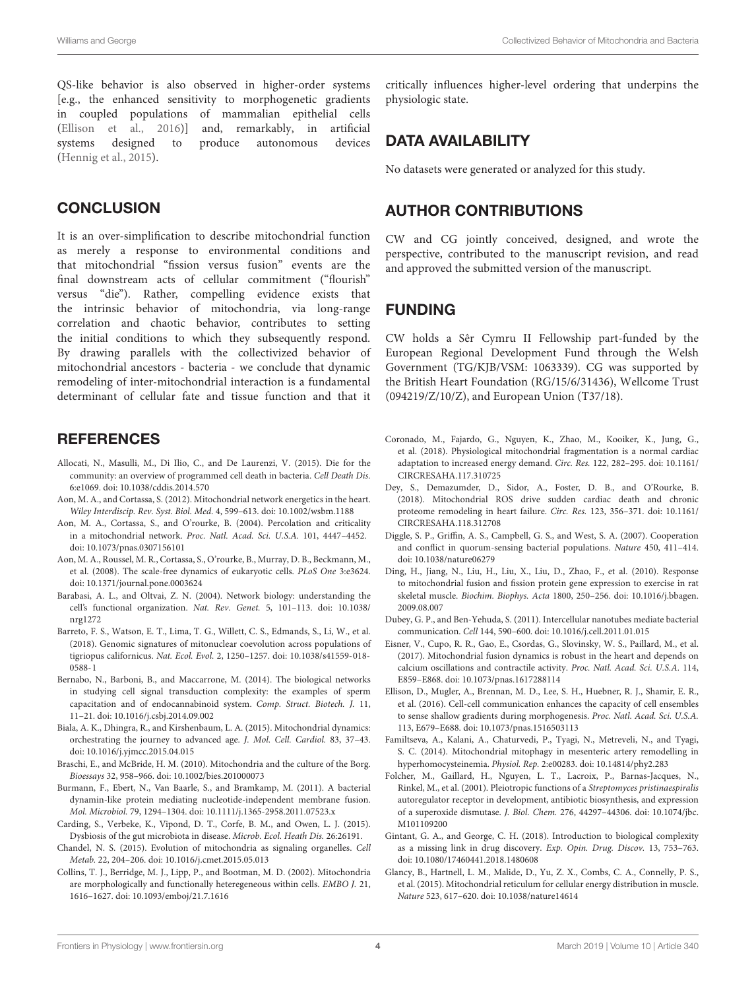QS-like behavior is also observed in higher-order systems [e.g., the enhanced sensitivity to morphogenetic gradients in coupled populations of mammalian epithelial cells (Ellison et al., 2016)] and, remarkably, in artificial systems designed to produce autonomous devices (Hennig et al., 2015).

# **CONCLUSION**

It is an over-simplification to describe mitochondrial function as merely a response to environmental conditions and that mitochondrial "fission versus fusion" events are the final downstream acts of cellular commitment ("flourish" versus "die"). Rather, compelling evidence exists that the intrinsic behavior of mitochondria, via long-range correlation and chaotic behavior, contributes to setting the initial conditions to which they subsequently respond. By drawing parallels with the collectivized behavior of mitochondrial ancestors - bacteria - we conclude that dynamic remodeling of inter-mitochondrial interaction is a fundamental determinant of cellular fate and tissue function and that it

### **REFERENCES**

- Allocati, N., Masulli, M., Di Ilio, C., and De Laurenzi, V. (2015). Die for the community: an overview of programmed cell death in bacteria. Cell Death Dis. 6:e1069. doi: 10.1038/cddis.2014.570
- Aon, M. A., and Cortassa, S. (2012). Mitochondrial network energetics in the heart. Wiley Interdiscip. Rev. Syst. Biol. Med. 4, 599–613. doi: 10.1002/wsbm.1188
- Aon, M. A., Cortassa, S., and O'rourke, B. (2004). Percolation and criticality in a mitochondrial network. Proc. Natl. Acad. Sci. U.S.A. 101, 4447–4452. doi: 10.1073/pnas.0307156101
- Aon, M. A., Roussel, M. R., Cortassa, S., O'rourke, B., Murray, D. B., Beckmann, M., et al. (2008). The scale-free dynamics of eukaryotic cells. PLoS One 3:e3624. doi: 10.1371/journal.pone.0003624
- Barabasi, A. L., and Oltvai, Z. N. (2004). Network biology: understanding the cell's functional organization. Nat. Rev. Genet. 5, 101–113. doi: 10.1038/ nrg1272
- Barreto, F. S., Watson, E. T., Lima, T. G., Willett, C. S., Edmands, S., Li, W., et al. (2018). Genomic signatures of mitonuclear coevolution across populations of tigriopus californicus. Nat. Ecol. Evol. 2, 1250–1257. doi: 10.1038/s41559-018- 0588-1
- Bernabo, N., Barboni, B., and Maccarrone, M. (2014). The biological networks in studying cell signal transduction complexity: the examples of sperm capacitation and of endocannabinoid system. Comp. Struct. Biotech. J. 11, 11–21. doi: 10.1016/j.csbj.2014.09.002
- Biala, A. K., Dhingra, R., and Kirshenbaum, L. A. (2015). Mitochondrial dynamics: orchestrating the journey to advanced age. J. Mol. Cell. Cardiol. 83, 37–43. doi: 10.1016/j.yjmcc.2015.04.015
- Braschi, E., and McBride, H. M. (2010). Mitochondria and the culture of the Borg. Bioessays 32, 958–966. doi: 10.1002/bies.201000073
- Burmann, F., Ebert, N., Van Baarle, S., and Bramkamp, M. (2011). A bacterial dynamin-like protein mediating nucleotide-independent membrane fusion. Mol. Microbiol. 79, 1294–1304. doi: 10.1111/j.1365-2958.2011.07523.x
- Carding, S., Verbeke, K., Vipond, D. T., Corfe, B. M., and Owen, L. J. (2015). Dysbiosis of the gut microbiota in disease. Microb. Ecol. Heath Dis. 26:26191.
- Chandel, N. S. (2015). Evolution of mitochondria as signaling organelles. Cell Metab. 22, 204–206. doi: 10.1016/j.cmet.2015.05.013
- Collins, T. J., Berridge, M. J., Lipp, P., and Bootman, M. D. (2002). Mitochondria are morphologically and functionally heteregeneous within cells. EMBO J. 21, 1616–1627. doi: 10.1093/emboj/21.7.1616

critically influences higher-level ordering that underpins the physiologic state.

# DATA AVAILABILITY

No datasets were generated or analyzed for this study.

# AUTHOR CONTRIBUTIONS

CW and CG jointly conceived, designed, and wrote the perspective, contributed to the manuscript revision, and read and approved the submitted version of the manuscript.

# FUNDING

CW holds a Sêr Cymru II Fellowship part-funded by the European Regional Development Fund through the Welsh Government (TG/KJB/VSM: 1063339). CG was supported by the British Heart Foundation (RG/15/6/31436), Wellcome Trust (094219/Z/10/Z), and European Union (T37/18).

- Coronado, M., Fajardo, G., Nguyen, K., Zhao, M., Kooiker, K., Jung, G., et al. (2018). Physiological mitochondrial fragmentation is a normal cardiac adaptation to increased energy demand. Circ. Res. 122, 282–295. doi: 10.1161/ CIRCRESAHA.117.310725
- Dey, S., Demazumder, D., Sidor, A., Foster, D. B., and O'Rourke, B. (2018). Mitochondrial ROS drive sudden cardiac death and chronic proteome remodeling in heart failure. Circ. Res. 123, 356–371. doi: 10.1161/ CIRCRESAHA.118.312708
- Diggle, S. P., Griffin, A. S., Campbell, G. S., and West, S. A. (2007). Cooperation and conflict in quorum-sensing bacterial populations. Nature 450, 411–414. doi: 10.1038/nature06279
- Ding, H., Jiang, N., Liu, H., Liu, X., Liu, D., Zhao, F., et al. (2010). Response to mitochondrial fusion and fission protein gene expression to exercise in rat skeletal muscle. Biochim. Biophys. Acta 1800, 250–256. doi: 10.1016/j.bbagen. 2009.08.007
- Dubey, G. P., and Ben-Yehuda, S. (2011). Intercellular nanotubes mediate bacterial communication. Cell 144, 590–600. doi: 10.1016/j.cell.2011.01.015
- Eisner, V., Cupo, R. R., Gao, E., Csordas, G., Slovinsky, W. S., Paillard, M., et al. (2017). Mitochondrial fusion dynamics is robust in the heart and depends on calcium oscillations and contractile activity. Proc. Natl. Acad. Sci. U.S.A. 114, E859–E868. doi: 10.1073/pnas.1617288114
- Ellison, D., Mugler, A., Brennan, M. D., Lee, S. H., Huebner, R. J., Shamir, E. R., et al. (2016). Cell-cell communication enhances the capacity of cell ensembles to sense shallow gradients during morphogenesis. Proc. Natl. Acad. Sci. U.S.A. 113, E679–E688. doi: 10.1073/pnas.1516503113
- Familtseva, A., Kalani, A., Chaturvedi, P., Tyagi, N., Metreveli, N., and Tyagi, S. C. (2014). Mitochondrial mitophagy in mesenteric artery remodelling in hyperhomocysteinemia. Physiol. Rep. 2:e00283. doi: 10.14814/phy2.283
- Folcher, M., Gaillard, H., Nguyen, L. T., Lacroix, P., Barnas-Jacques, N., Rinkel, M., et al. (2001). Pleiotropic functions of a Streptomyces pristinaespiralis autoregulator receptor in development, antibiotic biosynthesis, and expression of a superoxide dismutase. J. Biol. Chem. 276, 44297–44306. doi: 10.1074/jbc. M101109200
- Gintant, G. A., and George, C. H. (2018). Introduction to biological complexity as a missing link in drug discovery. Exp. Opin. Drug. Discov. 13, 753–763. doi: 10.1080/17460441.2018.1480608
- Glancy, B., Hartnell, L. M., Malide, D., Yu, Z. X., Combs, C. A., Connelly, P. S., et al. (2015). Mitochondrial reticulum for cellular energy distribution in muscle. Nature 523, 617–620. doi: 10.1038/nature14614